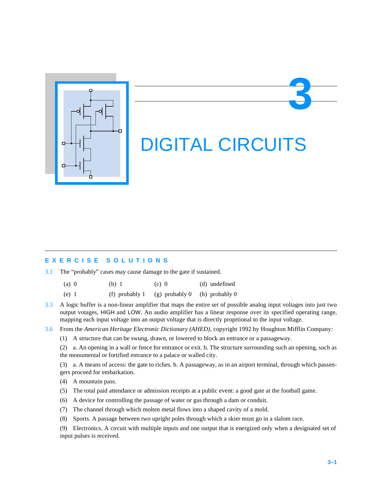

# DIGITAL CIRCUITS

**3**

## **EXERCISE SOLUTIONS**

3.1 The "probably" cases may cause damage to the gate if sustained.

| $(a)$ 0 | (b) 1 | $(c)$ 0 | (d) undefined |
|---------|-------|---------|---------------|
|         |       |         |               |

- (e) 1 (f) probably 1 (g) probably 0 (h) probably 0
- 3.3 A logic buffer is a non-linear amplifier that maps the entire set of possible analog input voltages into just two output votages, HIGH and LOW. An audio amplifier has a linear response over its specified operating range, mapping each input voltage into an output voltage that is directly proprtional to the input voltage.
- 3.6 From the *American Heritage Electronic Dictionary (AHED)*, copyright 1992 by Houghton Mifflin Company:
	- (1) A structure that can be swung, drawn, or lowered to block an entrance or a passageway.

(2) a. An opening in a wall or fence for entrance or exit. b. The structure surrounding such an opening, such as the monumental or fortified entrance to a palace or walled city.

(3) a. A means of access: the gate to riches. b. A passageway, as in an airport terminal, through which passengers proceed for embarkation.

- (4) A mountain pass.
- (5) The total paid attendance or admission receipts at a public event: a good gate at the football game.
- (6) A device for controlling the passage of water or gas through a dam or conduit.
- (7) The channel through which molten metal flows into a shaped cavity of a mold.
- (8) Sports. A passage between two upright poles through which a skier must go in a slalom race.

(9) Electronics. A circuit with multiple inputs and one output that is energized only when a designated set of input pulses is received.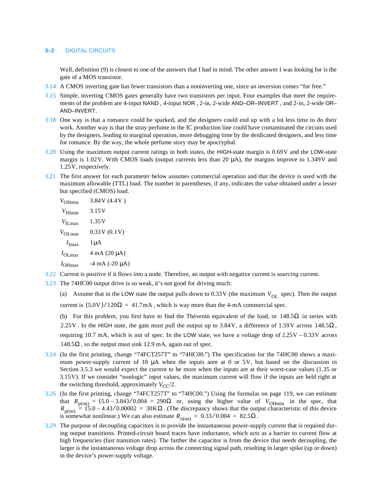## **3–2** DIGITAL CIRCUITS

Well, definition (9) is closest to one of the answers that I had in mind. The other answer I was looking for is the gate of a MOS transistor.

- 3.14 A CMOS inverting gate has fewer transistors than a noninverting one, since an inversion comes "for free."
- 3.15 Simple, inverting CMOS gates generally have two transistors per input. Four examples that meet the requirements of the problem are 4-input NAND , 4-input NOR , 2-in, 2-wide AND–OR–INVERT , and 2-in, 2-wide OR– AND–INVERT.
- 3.18 One way is that a romance could be sparked, and the designers could end up with a lot less time to do their work. Another way is that the stray perfume in the IC production line could have contaminated the circuits used by the designers, leading to marginal operation, more debugging time by the deidicated designers, and less time for romance. By the way, the whole perfume story may be apocryphal.
- 3.20 Using the maximum output current ratings in both states, the HIGH-state margin is 0.69V and the LOW-state margin is 1.02V. With CMOS loads (output currents less than 20 µA), the margins improve to 1.349V and 1.25V, respectively.
- 3.21 The first answer for each parameter below assumes commercial operation and that the device is used with the maximum allowable (TTL) load. The number in parentheses, if any, indicates the value obtained under a lesser but specified (CMOS) load.

| $V_{\text{OHmin}}$          | 3.84V (4.4V)                    |
|-----------------------------|---------------------------------|
| $V_{\text{IHmin}}$          | 3.15V                           |
| $V_{\text{II max}}$         | 1.35V                           |
| $V_{\text{OL,max}}$         | 0.33V(0.1V)                     |
| $I_{\text{Imax}}$           | $1 \mu A$                       |
| $I_{\text{OI} \text{ max}}$ | $4 \text{ mA} (20 \mu\text{A})$ |
| $I_{\text{OH} \text{max}}$  | $-4 \text{ mA}$ ( $-20 \mu$ A)  |
|                             |                                 |

- 3.22 Current is positive if it flows *into* a node. Therefore, an output with negative current is *sourcing* current.
- 3.23 The 74HC00 output drive is so weak, it's not good for driving much:
	- (a) Assume that in the LOW state the output pulls down to  $0.33V$  (the maximum  $V_{OL}$  spec). Then the output current is  $(5.0V)/120\Omega = 41.7mA$ , which is way more than the 4-mA commercial spec.

(b) For this problem, you first have to find the Thévenin equivalent of the load, or  $148.5\Omega$  in series with 2.25V. In the HIGH state, the gate must pull the output up to 3.84V, a difference of 1.59V across  $148.5\Omega$ , requiring 10.7 mA, which is out of spec. In the LOW state, we have a voltage drop of  $2.25V - 0.33V$  across  $148.5\Omega$ , so the output must sink 12.9 mA, again out of spec.

- 3.24 (In the first printing, change "74FCT257T" to "74HC00.") The specification for the 74HC00 shows a maximum power-supply current of 10 µA when the inputs aree at 0 or 5V, but based on the discussion in Section 3.5.3 we would expect the current to be more when the inputs are at their worst-case values (1.35 or 3.15V). If we consider "nonlogic" input values, the maximum current will flow if the inputs are held right at the switching threshold, approximately  $V_{CC}/2$ .
- 3.26 (In the first printing, change "74FCT257T" to "74HC00.") Using the formulas on page 119, we can estimate that  $R_{p(0n)} = (5.0 - 3.84) / 0.004 = 290 \Omega$  or, using the higher value of  $V_{\text{OHmin}}$  in the spec, that  $R_{p(0n)} = (5.0 - 4.4) / 0.00002 = 30 K\Omega$ . (The discrepancy shows that the output characteristic of this device is somewhat nonlinear.) We can also estimate  $R_{n(0n)} = 0.33/0.004 = 82.5\Omega$ .
- 3.29 The purpose of decoupling capacitors is to provide the instantaneous power-supply current that is required during output transitions. Printed-circuit board traces have inductance, which acts as a barrier to current flow at high frequencies (fast transition rates). The farther the capacitor is from the device that needs decoupling, the larger is the instantaneous voltage drop across the connecting signal path, resulting in larger spike (up or down) in the device's power-supply voltage.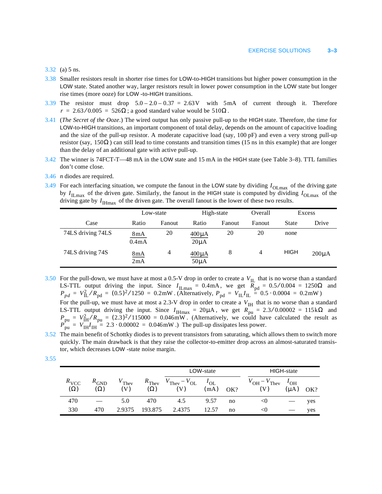#### 3.32 (a) 5 ns.

- 3.38 Smaller resistors result in shorter rise times for LOW-to-HIGH transitions but higher power consumption in the LOW state. Stated another way, larger resistors result in lower power consumption in the LOW state but longer rise times (more ooze) for LOW -to-HIGH transitions.
- 3.39 The resistor must drop  $5.0 2.0 0.37 = 2.63$  V with  $5 \text{mA}$  of current through it. Therefore  $r = 2.63/0.005 = 526\Omega$ ; a good standard value would be  $510\Omega$ .
- 3.41 (*The Secret of the Ooze*.) The wired output has only passive pull-up to the HIGH state. Therefore, the time for LOW-to-HIGH transitions, an important component of total delay, depends on the amount of capacitive loading and the size of the pull-up resistor. A moderate capacitive load (say, 100 pF) and even a very strong pull-up resistor (say, 150 $\Omega$ ) can still lead to time constants and transition times (15 ns in this example) that are longer than the delay of an additional gate with active pull-up.
- 3.42 The winner is 74FCT-T—48 mA in the LOW state and 15 mA in the HIGH state (see Table 3–8). TTL families don't come close.
- 3.46 *n* diodes are required.
- $3.49$  For each interfacing situation, we compute the fanout in the LOW state by dividing  $I_{OLmax}$  of the driving gate by  $I_{\text{ILmax}}$  of the driven gate. Similarly, the fanout in the HIGH state is computed by dividing  $I_{\text{OLmax}}$  of the driving gate by  $I_{\text{IHmax}}$  of the driven gate. The overall fanout is the lower of these two results.

|                   | Low-state    |                |                         | High-state | Overall | Excess      |            |
|-------------------|--------------|----------------|-------------------------|------------|---------|-------------|------------|
| Case              | Ratio        | Fanout         | Ratio                   | Fanout     | Fanout  | State       | Drive      |
| 74LS driving 74LS | 8mA<br>0.4mA | 20             | $400\mu A$<br>$20\mu A$ | 20         | 20      | none        |            |
| 74LS driving 74S  | 8mA<br>2mA   | $\overline{4}$ | $400\mu A$<br>$50\mu A$ | 8          | 4       | <b>HIGH</b> | $200\mu A$ |

3.50 For the pull-down, we must have at most a 0.5-V drop in order to create a  $V_{\text{H}}$  that is no worse than a standard LS-TTL output driving the input. Since  $I_{\text{H,max}} = 0.4 \text{ mA}$ , we get  $R_{\text{nd}} = 0.5/0.004 = 1250 \Omega$  and . (Alternatively,  $P_{\text{nd}} = V_{\text{H}} I_{\text{H}} = 0.5 \cdot 0.0004 = 0.2 \text{mW}$ )  $V_{\text{IL}}$  $I_{\text{ILmax}} = 0.4 \text{ mA}$ , we get  $R_{\text{pd}} = 0.5 / 0.004 = 1250 \Omega$  $P_{pd} = V_{IL}^2/R_{pd} = (0.5)^2/1250 = 0.2$ mW *.* (Alternatively,  $P_{pd} = V_{IL}I_{IL} = 0.5 \cdot 0.0004 = 0.2$ mW

For the pull-up, we must have at most a 2.3-V drop in order to create a  $V_{\text{IH}}$  that is no worse than a standard LS-TTL output driving the input. Since  $I_{\text{Hmax}} = 20 \mu\text{A}$ , we get  $R_{\text{nu}} = 2.3/0.00002 = 115 \text{k}\Omega$  and . (Alternatively, we could have calculated the result as .) The pull-up dissipates less power.  $I_{\text{IHmax}} = 20 \mu \text{A}$ , we get  $R_{\text{pu}} = 2.3 / 0.00002 = 115 \text{k} \Omega$  $P_{\text{pu}} = V_{\text{IH}}^2 / R_{\text{pu}} = (2.3)^2 / 115000 = 0.046 \text{mW}$  $P_{\text{pu}}^{\text{A}} = V_{\text{IH}}I_{\text{IH}} = 2.3 \cdot 0.00002 = 0.046 \text{mW}$ 

- 3.52 The main benefit of Schottky diodes is to prevent transistors from saturating, which allows them to switch more quickly. The main drawback is that they raise the collector-to-emitter drop across an almost-saturated transistor, which decreases LOW -state noise margin.
- 3.55

|                                |                                |                                    |                                   |                                          | LOW-state        |     |                                                    | HIGH-state            |     |
|--------------------------------|--------------------------------|------------------------------------|-----------------------------------|------------------------------------------|------------------|-----|----------------------------------------------------|-----------------------|-----|
| $R_{\text{VCC}}$<br>$(\Omega)$ | $R_{\text{GND}}$<br>$(\Omega)$ | $V_{\text{They}}$<br>$\mathcal{U}$ | $R$ <sub>They</sub><br>$(\Omega)$ | $V_{\text{They}} - V_{\text{OL}}$<br>'V) | $I_{OL}$<br>(mA) | OK? | $V_{\text{OH}} - V_{\text{They}}$<br>$\mathcal{U}$ | $I_{OH}$<br>$(\mu A)$ | OK? |
| 470                            |                                | 5.0                                | 470                               | 4.5                                      | 9.57             | no  | $<$ 0                                              |                       | yes |
| 330                            | 470                            | 2.9375                             | 193.875                           | 2.4375                                   | 12.57            | no  | $<$ 0                                              |                       | yes |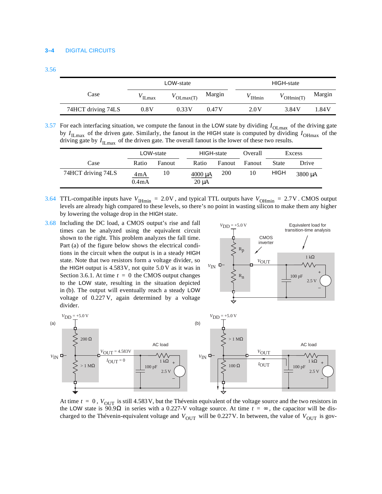|                    |      | LOW-state        |        | HIGH-state |              |        |  |  |
|--------------------|------|------------------|--------|------------|--------------|--------|--|--|
| Case               | Lmax | $\sum_{i=1}^{n}$ | Margin | Hmin       | $'$ OHmin(T) | Margin |  |  |
| 74HCT driving 74LS | 0.8V | 0.33V            | 0.47 V | 2.0 V      | 3.84V        | 1.84 V |  |  |

 $3.57$  For each interfacing situation, we compute the fanout in the LOW state by dividing  $I_{OLmax}$  of the driving gate by  $I_{\text{I Lmax}}$  of the driven gate. Similarly, the fanout in the HIGH state is computed by dividing  $I_{\text{O Hmax}}$  of the driving gate by  $I_{\text{ILmax}}$  of the driven gate. The overall fanout is the lower of these two results.

|                    | LOW-state                 |        | HIGH-state                 |            | Overall | Excess      |         |
|--------------------|---------------------------|--------|----------------------------|------------|---------|-------------|---------|
| Case               | Ratio                     | Fanout | Ratio                      | Fanout     | Fanout  | State       | Drive   |
| 74HCT driving 74LS | 4mA<br>0.4 <sub>m</sub> A | 10     | $4000 \mu A$<br>$20 \mu A$ | <b>200</b> | 10      | <b>HIGH</b> | 3800 µA |

- 3.64 TTL-compatible inputs have  $V_{\text{Hmin}} = 2.0 \text{V}$ , and typical TTL outputs have  $V_{\text{OHmin}} = 2.7 \text{V}$ . CMOS output levels are already high compared to these levels, so there's no point in wasting silicon to make them any higher by lowering the voltage drop in the HIGH state.  $V_{\text{IHmin}} = 2.0 \text{V}$ , and typical TTL outputs have  $V_{\text{OHmin}} = 2.7 \text{V}$
- 3.68 Including the DC load, a CMOS output's rise and fall times can be analyzed using the equivalent circuit shown to the right. This problem analyzes the fall time. Part (a) of the figure below shows the electrical conditions in the circuit when the output is in a steady HIGH state. Note that two resistors form a voltage divider, so the HIGH output is 4.583V, not quite 5.0 V as it was in Section 3.6.1. At time  $t = 0$  the CMOS output changes  $\geq R_n$  | 100 pF to the LOW state, resulting in the situation depicted in (b). The output will eventually reach a steady LOW voltage of 0.227 V, again determined by a voltage divider.





At time  $t = 0$ ,  $V_{OUT}$  is still 4.583 V, but the Thévenin equivalent of the voltage source and the two resistors in the LOW state is 90.9 $\Omega$  in series with a 0.227-V voltage source. At time  $t = \infty$ , the capacitor will be discharged to the Thévenin-equivalent voltage and  $V_{\text{OUT}}$  will be 0.227V. In between, the value of  $V_{\text{OUT}}$  is gov-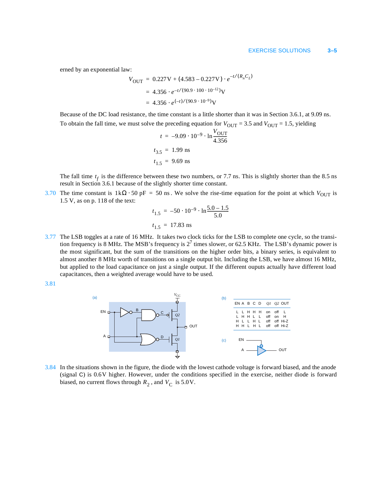erned by an exponential law:

$$
V_{\text{OUT}} = 0.227 \text{V} + (4.583 - 0.227 \text{V}) \cdot e^{-t/(R_n C_L)}
$$
  
= 4.356 \cdot e^{-t/(90.9 \cdot 100 \cdot 10^{-12})} \text{V}  
= 4.356 \cdot e^{(-t)/(90.9 \cdot 10^{-9})} \text{V}

Because of the DC load resistance, the time constant is a little shorter than it was in Section 3.6.1, at 9.09 ns. To obtain the fall time, we must solve the preceding equation for  $V_{\text{OUT}} = 3.5$  and  $V_{\text{OUT}} = 1.5$ , yielding

$$
t = -9.09 \cdot 10^{-9} \cdot \ln \frac{V_{\text{OUT}}}{4.356}
$$
  

$$
t_{3.5} = 1.99 \text{ ns}
$$
  

$$
t_{1.5} = 9.69 \text{ ns}
$$

The fall time  $t_f$  is the difference between these two numbers, or 7.7 ns. This is slightly shorter than the 8.5 ns result in Section 3.6.1 because of the slightly shorter time constant.

3.70 The time constant is  $1k\Omega \cdot 50$  pF = 50 ns. We solve the rise-time equation for the point at which  $V_{\text{OUT}}$  is 1.5 V, as on p. 118 of the text:

$$
t_{1.5} = -50 \cdot 10^{-9} \cdot \ln \frac{5.0 - 1.5}{5.0}
$$
  

$$
t_{1.5} = 17.83 \text{ ns}
$$

3.77 The LSB toggles at a rate of 16 MHz. It takes two clock ticks for the LSB to complete one cycle, so the transition frequency is 8 MHz. The MSB's frequency is  $2^7$  times slower, or 62.5 KHz. The LSB's dynamic power is the most significant, but the sum of the transitions on the higher order bits, a binary series, is equivalent to almost another 8 MHz worth of transitions on a single output bit. Including the LSB, we have almost 16 MHz, but applied to the load capacitance on just a single output. If the different ouputs actually have different load capacitances, then a weighted average would have to be used.





3.84 In the situations shown in the figure, the diode with the lowest cathode voltage is forward biased, and the anode (signal C) is 0.6V higher. However, under the conditions specified in the exercise, neither diode is forward biased, no current flows through  $R_2$ , and  $V_C$  is 5.0V.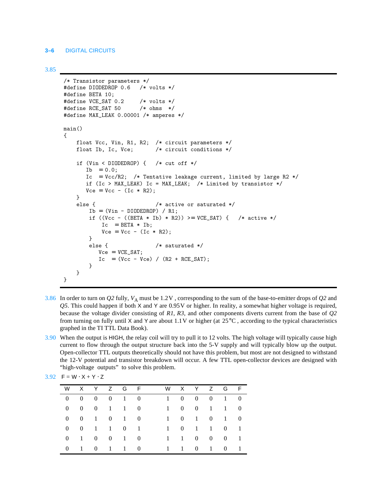#### **3–6** DIGITAL CIRCUITS

3.85

```
/* Transistor parameters */
#define DIODEDROP 0.6 /* volts */
#define BETA 10;
#define VCE_SAT 0.2 /* volts */
#define RCE_SAT 50 /* ohms */
#define MAX_LEAK 0.00001 /* amperes */
main()
{
    float Vcc, Vin, R1, R2; /* circuit parameters */
    float Ib, Ic, Vce; /* circuit conditions */
    if (Vin < DIODEDROP) { /* cut off */
      Ib = 0.0:
      Ic = Vcc/R2; /* Tentative leakage current, limited by large R2 */ if (Ic > MAX_LEAK) Ic = MAX_LEAK; /* Limited by transistor */
      Vce = Vcc - (Ic * R2); }
    else { /* active or saturated */
       Ib = (Vin - DIODEDROP) / R1;if ((Vcc - ((BETA * Ib) * R2)) >= VCE_SAT) { /* active */
           Ic = BETA * Ib;Vce = Vcc - (Ic * R2); }
        else { /* saturated */
          Vce = VCE\_SAT;Ic = (Vcc - Vce) / (R2 + RCE_SAT); }
    }
}
```
- 3.86 In order to turn on *Q2* fully, *V*A must be 1.2V , corresponding to the sum of the base-to-emitter drops of *Q2* and *Q5*. This could happen if both X and Y are 0.95V or higher. In reality, a somewhat higher voltage is required, because the voltage divider consisting of *R1*, *R3*, and other components diverts current from the base of *Q2* from turning on fully until X and Y are about  $1.1V$  or higher (at  $25^{\circ}$ C, according to the typical characteristics graphed in the TI TTL Data Book).
- 3.90 When the output is HIGH, the relay coil will try to pull it to 12 volts. The high voltage will typically cause high current to flow through the output structure back into the 5-V supply and will typically blow up the output. Open-collector TTL outputs theoretically should not have this problem, but most are not designed to withstand the 12-V potential and transistor breakdown will occur. A few TTL open-collector devices are designed with "high-voltage outputs" to solve this problem.

| W        |                   |  | XYZGF                        |  |           |                |                    |                     | W X Y Z G F                 |                |
|----------|-------------------|--|------------------------------|--|-----------|----------------|--------------------|---------------------|-----------------------------|----------------|
| $\Omega$ | $\hspace{1.6cm}0$ |  | $0 \quad 0 \quad 1 \quad 0$  |  | $1 \quad$ | $\overline{0}$ |                    |                     | $0 \quad 0 \quad 1 \quad 0$ |                |
|          | $0 \quad 0$       |  | $0 \quad 1 \quad 1 \quad 0$  |  | $1 \quad$ | $\overline{0}$ |                    |                     | $0 \t 1 \t 1 \t 0$          |                |
|          |                   |  | $0 \t 0 \t 1 \t 0 \t 1 \t 0$ |  | $1 \quad$ |                |                    |                     | $0 \t1 \t0 \t1 \t0$         |                |
|          |                   |  | $0 \t 0 \t 1 \t 1 \t 0 \t 1$ |  | $1 \quad$ |                | $0 \t 1 \t 1 \t 0$ |                     |                             | $\blacksquare$ |
|          | $0 \quad 1$       |  | $0 \quad 0 \quad 1 \quad 0$  |  |           | $1 \quad 1$    |                    | $0 \quad 0 \quad 0$ |                             | $\blacksquare$ |
| $\Omega$ | $1 \quad 0$       |  | 1 1 0                        |  |           |                | 1 1 0 1 0          |                     |                             | $\blacksquare$ |
|          |                   |  |                              |  |           |                |                    |                     |                             |                |

| 3.92 $F = W \cdot X + Y \cdot Z$ |  |  |  |  |  |
|----------------------------------|--|--|--|--|--|
|----------------------------------|--|--|--|--|--|